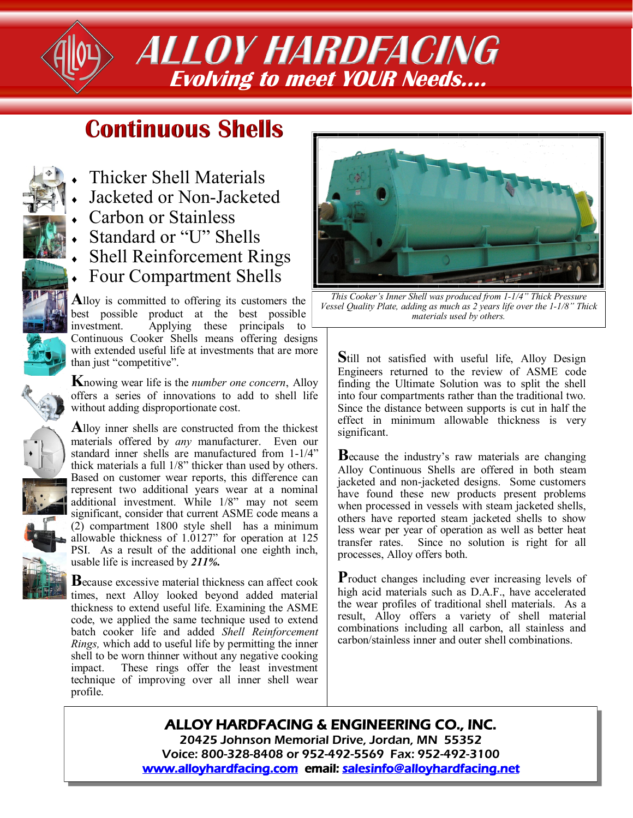*ALLOY HARDFACING* **Evolving to meet YOUR Needs….**

## **Continuous Shells**

- 
- Thicker Shell Materials
	- Jacketed or Non-Jacketed
	- Carbon or Stainless
	- Standard or "U" Shells
	- Shell Reinforcement Rings
	- Four Compartment Shells

**A**lloy is committed to offering its customers the best possible product at the best possible<br>investment. Applying these principals to Applying these principals to Continuous Cooker Shells means offering designs with extended useful life at investments that are more than just "competitive".

**K**nowing wear life is the *number one concern*, Alloy offers a series of innovations to add to shell life without adding disproportionate cost.

**A**lloy inner shells are constructed from the thickest materials offered by *any* manufacturer. Even our standard inner shells are manufactured from 1-1/4" thick materials a full 1/8" thicker than used by others. Based on customer wear reports, this difference can represent two additional years wear at a nominal additional investment. While 1/8" may not seem significant, consider that current ASME code means a (2) compartment 1800 style shell has a minimum allowable thickness of 1.0127" for operation at 125 PSI. As a result of the additional one eighth inch, usable life is increased by *211%.*

**B**ecause excessive material thickness can affect cook times, next Alloy looked beyond added material thickness to extend useful life. Examining the ASME code, we applied the same technique used to extend batch cooker life and added *Shell Reinforcement Rings,* which add to useful life by permitting the inner shell to be worn thinner without any negative cooking impact. These rings offer the least investment technique of improving over all inner shell wear profile.



*This Cooker's Inner Shell was produced from 1-1/4" Thick Pressure Vessel Quality Plate, adding as much as 2 years life over the 1-1/8" Thick materials used by others.* 

**S**till not satisfied with useful life, Alloy Design Engineers returned to the review of ASME code finding the Ultimate Solution was to split the shell into four compartments rather than the traditional two. Since the distance between supports is cut in half the effect in minimum allowable thickness is very significant.

**B**ecause the industry's raw materials are changing Alloy Continuous Shells are offered in both steam jacketed and non-jacketed designs. Some customers have found these new products present problems when processed in vessels with steam jacketed shells, others have reported steam jacketed shells to show less wear per year of operation as well as better heat transfer rates. Since no solution is right for all processes, Alloy offers both.

Product changes including ever increasing levels of high acid materials such as D.A.F., have accelerated the wear profiles of traditional shell materials. As a result, Alloy offers a variety of shell material combinations including all carbon, all stainless and carbon/stainless inner and outer shell combinations.

## ALLOY HARDFACING & ENGINEERING CO., INC. 20425 Johnson Memorial Drive, Jordan, MN 55352 Voice: 800-328-8408 or 952-492-5569 Fax: 952-492-3100

[www.alloyhardfacing.com](HTTPS://www.alloyhardfacing.com) email: [salesinfo@alloyhardfacing.net](mailto:salesinfo@alloyhardfacing.net)